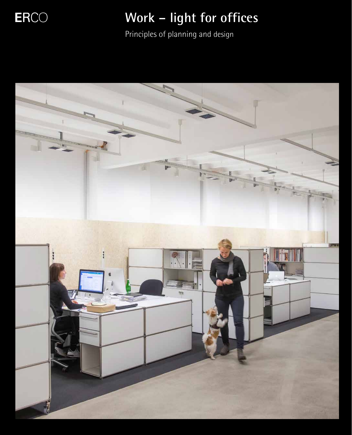

# ERCO Work – light for offices

Principles of planning and design

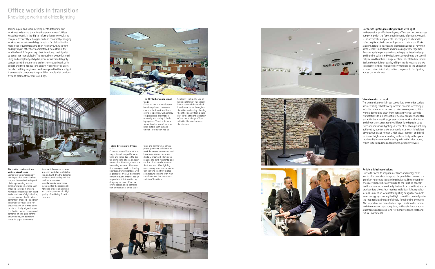

Technological and social developments determine our work methods – and therefore the appearance of offices. Knowledge work in the digital information society with its complex, frequently self-organised and constantly changing work sequences demands high levels of flexibility. For this reason the requirements made on floor layouts, furniture and lighting in offices are completely different from the world of work fifty years ago that functioned mainly with paper rather than digitally. The increasingly dynamic sched uling and complexity of digital processes demands highly concentrated dialogue- and project-orientated work with people and their needs at the centre. Not only office users but also building engineers need to respond to this and light is an essential component in providing people with produc tive and pleasant work surroundings.





### **Office worlds in transition** Knowledge work and office lighting

#### **The 1970s: horizontal visual tasks**

Processes and communication based on printed documents characterised work in offices over a long period, with employees processing information manually and storing it in fil ing systems. Visual tasks were focused on horizontal planes – small details such as handwritten information had to

### **Today: differentiated visual tasks**

Contemporary office work is no longer bound to specific loca tions and times due to the digi tal networking of data and com munication. However, due to the increasing pressure of innova tion, analogue work on drawing boards and whiteboards as well as places for creative discussions remain relevant. Interior design responds to this transition by designing modern offices as hybrid spaces, and a combina tion of traditional office struc -

### **The 1990s: horizontal and vertical visual tasks**

Computers with increasingly rapid operation revolutionised not just the method and speed of data processing but also communication in offices. Even though a large part of docu mentation was still paper-based in the early era of digitalisation, the appearance of offices fun damentally changed. n addition to horizontal visual tasks for the processing of printed docu ments, vertically aligned, high ly reflective screens now placed demands on the glare control of luminaires, whilst storage space for paper documents

be clearly legible. The use of high quantities of fluorescent lamps achieved the required illuminance levels throughout the office and during planning the office quality took a back seat to the efficient utilisation of the space – large offices with flat illumination were the standard.

tures and comfortable atmos pheres promotes collaborative work. Processes, documents and knowledge management are digitally organised. Illuminated screens and both horizontal and vertical display surfaces move the focus and office lighting moves away from pure worksta tion lighting to differentiated architectural lighting with high visual comfort that assumes a variety of functions.



decreased. Economic pressure also increased due to globalisa tion and with this the demands made on productivity and the spirit of innovation. Simultaneously, awareness increased for the responsible handling of natural resources and the importance of a high quality of wellbeing for effi cient work.

### **Corporate lighting: creating brands with light**

In the race for qualified employees, offices are not only spaces complying with the functional demands of productive work – the architecture represents the company as a brand by reflecting its attitude to employees and customers. Work stations, relaxation areas and prestigious zones all have the same level of importance and increasingly flow together. Area design is implemented accordingly, i.e. interior design and lighting within individual zones according to the specifi cally desired function. This perception-orientated method of design demands high quality of light in all areas and thanks to specific lighting levels precisely matched to the utilisation is more cost-efficient alternative compared to flat lighting across the whole area.



### **Visual comfort at work**

The demands on work in our specialised knowledge society are increasing, whilst work processes become increasingly interdisciplinary and networked. As a consequence, office work is developing away from constant work at specific workstations to a more spatially flexible sequence of differ ent activities – meetings, presentations, work within teams and single quiet areas require differentiated spatial struc tures and individual lighting. A sense of wellbeing is not only achieved by comfortable, ergonomic interiors – light is less obvious but just as relevant. High visual comfort and distri bution of brightness according to the activity in the space provides high visual quality and good spatial orientation, which in turn leads to concentrated, productive work.



### **Reliable lighting solutions**

Due to the need to keep maintenance and energy costs low in office construction projects, qualitative parameters are often neglected in planning decisions. The demand for energy efficiency is closely linked to the lighting concept itself and cannot be randomly derived from specifications on product data sheets, but requires individual lighting calcu lations. Perception-orientated lighting design for example saves energy by ensuring that light is emitted precisely onto the required area instead of simply floodlighting the room. Also important are manufacturer specifications for lumen maintenance and operating time, as these influence sound statements concerning long-term maintenance costs and future investments.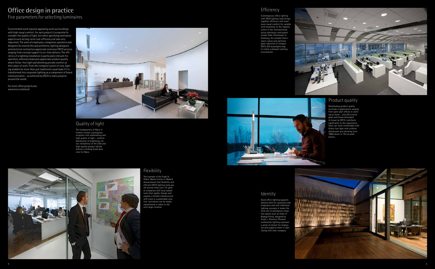## **Office design in practice**  Five parameters for selecting luminaires

Concentrated work requires appealing work surroundings with high visual comfort. For each project it is essential to consider the quality of light, but when specifying luminaires aspects such as long-term cost-efficiency are also very important. The aims of employees, companies, operators and designers far exceed this and architects, lighting designers and electrical contractors appreciate extensive ERCO services ranging from concept support to on-time delivery. The effi ciency of a lighting installation is particularly relevant for operators, whereas employees appreciate product quality where flicker-free light and dimming provide comfort at their place of work. From the company's point of view, light ing enables far more than just traditional visual tasks if it is transformed into corporate lighting as a component of brand communication – as achieved by ERCO in many projects around the world.

For more office projects see: www.erco.com/work



The headquarters of Mace in London creates a prestigious reception with wallwashing and high quality of light – uniform distribution of brightness, col our consistency of the LEDs and high-quality product details achieve a striking brand pres ence for Mace.



The example of the Engel & Völker Market Center in Madrid demonstrates that flexibility and efficient ERCO lighting tools pay off several times over: for glob al companies with local subsid iaries that rapidly change and expand, a flexible infrastructure with track is a sustainable solu tion. Luminaires can be simply repositioned or taken to the next larger location.



### Quality of light

### Flexibility

Outstanding product quality succeeds in applications ranging from open-plan offices to work ing at home – and LED control gears and lenses developed in-house by ERCO, contribute significantly to the ergonomics. Users can work comfortably with flicker-free light with uniform distribution and dimming from 100% down to 1% via pushbutton.

Good office lighting supports identity both for customers and employees and with individual lighting concepts it makes the most out of prestigious corporate spaces such as those of Bodega Portia, designed by Foster + Partners. Pleasant workstation lighting expresses a sense of esteem for employ ees and supports them in iden tifying with their company.



Contemporary office lighting with ERCO lighting tools brings together efficiency with maxi mum visual comfort for variable work situations. In the logistics centre of the internationally active distributor and airport retailer Gebr. Heinemann in Hamburg, the suitable illumi nance values and optimum glare reduction of compact ERCO LED downlights help to create a pleasant working environment.





### Efficiency

### Product quality

### Identity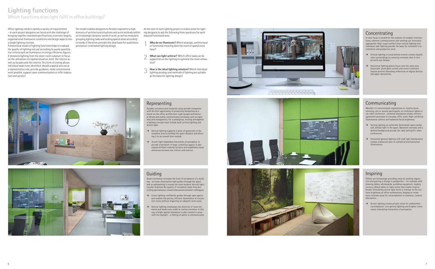Office lighting needs to satisfy a variety of requirements – in each project designers are faced with the challenge of bringing together standard specifications, economic targets, organisational framework conditions and design aspects into a single lighting concept.

A theoretical model of lighting functions helps to evaluate the quality of lighting not just according to purely quantitative criteria such as illuminance or energy efficiency figures. It distances lighting from the static room cubature to focus on the utilisation of a spatial situation, both the interior as well as facades and the exterior. This form of zoning allows individual tasks to be identified: should a spatial area serve a representative role, provide guidance, make concentrated work possible, support open communication or offer inspiration and variety?

## **Lighting functions** Which functions does light fulfil in office buildings?

- $\rightarrow$  Vertical lighting supports a sense of generosity in the reception area by lending the space distance and allowing it to be viewed from outside.
- $\rightarrow$  Accent light establishes hierarchies of perception to provide orientation in large, unfamiliar spaces. It also ensures brilliant material surfaces and establishes visual references between the interior and exterior.



The model enables designers to flexibly respond to a high diversity of architectural situations and work methods within an increasingly dynamic world of work, as well as modularly grouping lighting tasks and scaling spatial areas according to needs. It therefore provides the ideal basis for qualitative, perception-orientated lighting design.

- $\rightarrow$  Linear lighting confidently guides through open spaces and enables the precise, efficient illumination of circulation zones without impacting on adjacent work areas.
- Vertical lighting emphasises the direction of room elements and lends more width to narrow corridors. In this way a bright spatial impression is also created in areas with low daylight – a feeling of safety is communicated.



Facades, entrances and reception areas provide companies with the first opportunity of presenting themselves as a brand via the office architecture. Light sculpts architectural details and subtly communicates attributes such as openness and transparency. For a prestigious, inviting atmosphere a lighting concept must include both vertical lighting and accent light.

- $\rightarrow$  Vertical lighting on uniformly illuminated walls creates soft, diffuse light in the space. Balanced contrasts and a defined background provide the ideal setting for video conferences.
- $\rightarrow$  Horizontal general lighting with wide light distributions creates a balanced ratio of cylindrical and horizontal illuminances.



Good orientation increases the level of acceptance of a building – as linear illumination light guides through the space and as wallwashing it creates the room borders. Vertical lighting also improves the quality of circulation areas thus promoting spontaneous, relaxed discussions between colleagues.

> $\rightarrow$  Accent lighting creates private zones for undisturbed contemplation. Low general lighting and brighter zones create stimulating hierarchies of perception.

 $\rightarrow$  Vertical lighting in areas behind screens creates visually calm surroundings by reducing contrasts that in turn

 $\rightarrow$  Horizontal lighting places focus onto the work area. Important: good glare control and correct luminaire layouts prevent disturbing reflections on digital devices

### Representing

### Guiding

At the start of each lighting project it makes sense for lighting designers to ask the following three questions for each required functional area:

- **1 Why do we illuminate?** Which strategic, architectural or functional meaning does the room or spatial zone have?
- **2 What can light achieve?** Which office tasks can be supported via the lighting to optimise the room utilisation?
- **3 How is the ideal lighting solution?** Which individual lighting strategy and methods of lighting are suitable as the basis for lighting design?





Whether it's concentrated negotiations or creative brainstorming, one or several participants, at conference tables or via video conference – personal discussions enable efficient agreement processes in everyday office work. High cylindrical illuminances achieve well balanced facial brightness.

Offices are increasingly providing areas for seeking inspiration and gaining a change in perspective – for example with drawing tables, whiteboards, workshop equipment, reading corners, billiard tables or table tennis that enable creative breaks. Stimulating accent light forms a contrast to the uniform brightness at office workstations, helping to create more intimate areas for contemplation or intensive, creative discussions.

A clear focus is needed for the analysis of complex interrelations, coherent communication and working out innovative approaches. High visual comfort from vertical lighting and individual task-lighting provide the basis for consistent con-

centration and productive work.

prevents eye fatigue.

and paper documents.



Concentrating

### Communicating

### Inspiring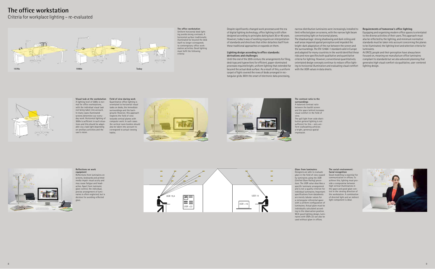

## **The office workstation**

Criteria for workplace lighting – re-evaluated

#### **Visual task at the workstation**  A lighting level of 500lx is normal for office workstations, with the individual visual task not being taken into account. In many cases illuminated screens determine our everyday work. Horizontal lighting of 300lx is sufficient in such situations and this should be adaptable via a task light depending on ancillary activities and the user's vision.

### **Field of view during work**



Quantitative office lighting is orientated to horizontal visual tasks on desks, the immediate surroundings and the background. However, this approach neglects the field of view towards vertical planes with computer work. In such cases the vertical room borders should also be taken into account to correspond to actual viewing habits.







### **Reflections on work**

**equipment** Reflections from luminaires on screens, keyboards and printed media impair visual acuity and may cause fatigue and headaches. Apart from luminaire glare control, the individual, precise arrangement of luminaires is often neglected, but is decisive for avoiding reflected glare.

### **The office workstation**

ing avoids strong contrasts. A horizontal surface traditionally illuminated far beyond the desk itself no longer corresponds to contemporary office workstation activities. Good lighting must fulfil the following criteria:

Despite significantly changed work processes and the era of digital lighting technology, office lighting is still often designed according to principles dating back 30 or 40 years. However, today's way of working requires an interpretation of standards and directives that either detaches itself from these traditional approaches or expands on them.

### **Lighting design according to office standards:**

**derivations and challenges**



Until the end of the 20th century the arrangements for filing, desk tops and typewriters for efficient, paper-dominated processes required bright, uniform lighting that extended far beyond the actual desk surface. As a result of this, a uniform carpet of light covered the rows of desks arranged in rectangular grids. With the onset of electronic data processing,

#### **The contrast ratio to the surroundings**  A balanced contrast ratio between the backlit screen and the space behind increases

visual comfort in the field of view. The spill light from wide distribution general lighting is not sufficient for this – only uniform wallwashing achieves a bright, generous spatial

impression.

### **Glare from luminaires**

Designers are able to evaluate glare in the field of view caused by luminaires using the UGR (Unified Glare Rating) procedure. The UGR value describes a specific luminaire arrangement and is not a quality criterion for individual luminaires. Important: specifications from datasheets are merely tabular values for a rectangular referential space with a uniform configuration of luminaires. Actual glare must be individually calculated according to the observation position. With good lighting design, luminaires with UGR<22 can also be used without glare in offices.

#### **The social environment: facial recognition**

Good modelling is essential for communication in offices. To achieve this, lighting must provide a compromise between high vertical illuminances in the space and good glare control in the viewing direction of the workstation. A combination of directed light and an indirect light component is ideal.



narrow distribution luminaires were increasingly installed to limit reflected glare on screens, with the narrow light beam concentrating light on horizontal planes.

The disadvantage: strong shadowing and dark ceiling and wall areas impaired spatial perception and impeded the bright-dark adaptation of the eye between the screen and the surroundings. The EN 12464-1 standard valid in Europe and adapted for many countries in the world identified these At ERCO, people and their perception have always been risks and now specifies both qualitative and quantitative criteria for lighting. However, conventional quantitatively orientated design concepts continue to reduce office lighting to horizontal illumination and evaluating visual comfort with the UGR values in data sheets.

### **Requirements of tomorrow's office lighting**

Equipping and organising modern office spaces is orientated to the diverse activities of their users. This approach must also be reflected by the lighting, and minimum normative standards must be taken into account concerning the planes to be illuminated, the lighting level and selection criteria for luminaires.

focused on, meaning we manufacture office luminaires compliant to standards but we also advocate planning that generates high visual comfort via qualitative, user-centered lighting design.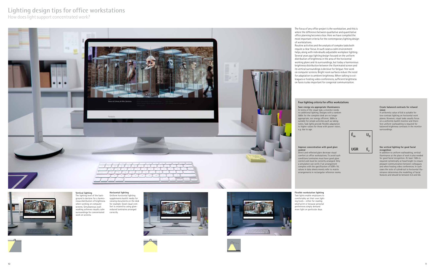

## **Lighting design tips for office workstations**

How does light support concentrated work?





### **Vertical lighting** The lighting level of the back-

ground is decisive for a harmonious distribution of brightness when working on computer screens. Simultaneous wallwashing achieves visually calm surroundings for concentrated work on screens.

### **Horizontal lighting**

Uniform horizontal lighting supplements backlit media for viewing documents on the desk for example. Good visual comfort is created by using glarereduced luminaires arranged correctly.











The focus of any office project is the workstation, and this is where the difference between qualitative and quantitative office planning becomes clear. Here we have compiled the most important criteria for the contemporary lighting design of workstations.

Routine activities and the analysis of complex tasks both require a clear focus. In such cases a calm environment helps, along with individually adjustable workplace lighting. Several years ago lighting design focused on the uniform distribution of brightness in the area of the horizontal working plane and its surroundings, but today a harmonious brightness distribution between the illuminated screen and its vertical surroundings is decisive for fatigue-free work on computer screens. Bright room surfaces reduce the need for adaptation to ambient brightness. When talking to colleagues or hosting video conferences, sufficient brightness on faces is also important for congenial communication.

**Save energy via appropriate illuminances** In terms of the visual task, a monitor needs no additional lighting. Designs with a random 500lx for the complete desk are no longer appropriate, nor energy efficient. 300lx is suitable for simple activities such as taking notes. Task lights provide flexible adaptation to higher values for those with poorer vision, e.g. due to age.

### **Four lighting criteria for office workstations**

#### **Create balanced contrasts for relaxed vision**

A uniformity value of 0.6 is suitable for low-contrast lighting on horizontal work planes. However, visual tasks usually focus on a uniformly backlit monitor and therefore uniform wallwashing is required for balanced brightness contrasts in the monitor surroundings.

#### **Improve concentration with good glare control**

Direct and reflected glare decrease visual comfort at office workstations. To avoid such conditions luminaires must have good glare control and must be correctly arranged. Only a simulation can verify if an arrangement complies with the specification of UGR<19; values in data sheets merely refer to matrix arrangements in rectangular reference rooms.

### **Use vertical lighting for good facial recognition**

In addition to uniform wallwashing, vertical illuminance at the place of work is also needed for good facial recognition. At least 150lx is required cylindrically at head height to ensure pleasant communication between colleagues and when hosting video conferences. In such cases the ratio of cylindrical to horizontal illuminance determines the modelling of facial features and should be between 0.3 and 0.6.



### **Flexible workstation lighting**

Task lights enable employees to comfortably set their own lighting levels – either for reading small print or because personal preferences simply demand more light on particular days.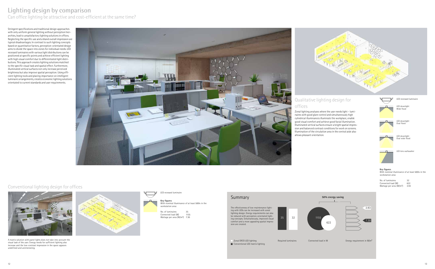### Conventional lighting design for offices

LED recessed luminaire

Stringent specifications and traditional design approaches with only uniform general lighting without perception hierarchies, lead to unsatisfactory lighting solutions in offices. Neglecting the specific use and a bland overall impression are typical disadvantages. In contrast to such lighting concepts based on quantitative factors, perception-orientated design aims to divide the space into zones for individual needs. LED recessed luminaires with various light distributions can be positioned at specific points and achieve efficient lighting with high visual comfort due to differentiated light distributions. This approach creates lighting solutions matched to the specific visual task and spatial effect. Furthermore, illuminated vertical surfaces not only increase perceived brightness but also improve spatial perception. Using efficient lighting tools and placing importance on intelligent luminaire arrangements, creates economic lighting solutions orientated to current standards and user requirements.





### **Lighting design by comparison** Can office lighting be attractive and cost-efficient at the same time?



### Qualitative lighting design for offices

Zonal lighting analyses where the user needs light – luminaires with good glare control and simultaneously high cylindrical illuminances illuminate the workplace, enable good visual comfort and achieve good facial illumination. Illuminated vertical surfaces ensure a bright spatial impression and balanced contrast conditions for work on screens. Illumination of the circulation area in the central aisle also allows pleasant orientation.

### Summary

sion are created.

**Conventional LED matrix lighting** 



With nominal illuminance of at least 500lx in the workstation area:

| No. of luminaires         | 32   |
|---------------------------|------|
| Connected load (W)        | 622  |
| Wattage per area $(W/m2)$ | 3.93 |



A matrix solution with panel lights does not take into account the visual task of the user. Energy needs for sufficient lighting also increase and the low-contrast impression in the space appears undefined and uninteresting.





**Key figures** With nominal illuminance of at least 500lx in the workstation area:

No. of luminaires 35<br>Connected load (W) 1155 Connected load (W) Wattage per area (W/m<sup>2</sup>) 7.30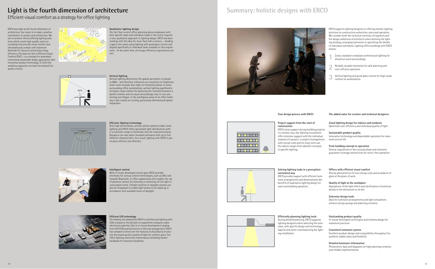

## **Light is the fourth dimension of architecture**

Efficient visual comfort as a strategy for office lighting

### **Qualitative lighting design**

The fact that current office planning places employees with their specific tasks and individual needs in the centre requires a new, qualitative approach to lighting design. ERCO has been working with this idea for more than half a century – dividing a space into zones using lighting with good glare control and aligned specifically to individual tasks complies to this requirement. At the same time, all energy efficiency requirements are met.

#### **Vertical lighting**

Vertical lighting determines the spatial perception of people to 80% – and therefore influences our sensitivity to brightness much more strongly than light on horizontal planes. In areas surrounding office workstations, vertical lighting significantly increases visual comfort by balancing the contrasts between a backlit monitor and its visual surroundings, thus in turn preventing eye fatigue. In the prestigious areas of an office building it also creates an inviting, generously-dimensioned spatial impression.

### **Effective lighting technology**

Only high-performance, precise optical systems enable zonal lighting and ERCO offers specialised light distributions within a luminaire range to illuminate only the required surfaces. Designers can also select recessed luminaires with up to five different characteristics. As a result, lighting with ERCO is particularly efficient and effective.



#### **Intelligent control**

With in-house developed control gear ERCO provides interfaces for various control technologies, such as DALI and Casambi Bluetooth. In office applications this enables the use of presence sensors for dimming or switching off the light in unoccupied rooms. Twilight switches or daylight sensors can also be integrated to enable light scenes to be called up in accordance with available levels of daylight.



#### **Efficient LED technology**

The leading role adopted by ERCO in architectural lighting with LEDs is based on the decision to expand the company's optoelectronics expertise. Due to in-house development ranging from LED PCBs and electronics to thermal management, ERCO has complete control over the features of all products. In practice this means perfect quality of light for uniform, glare-free office lighting, and lumen maintenance exceeding market standards for maximum durability.









ERCO sees light as the fourth dimension of architecture. Our vision is to make a positive contribution to society and architecture. We aim to achieve this by offering lighting solutions which create high-quality work surroundings that provide visual comfort and simultaneously comply with maximum demands for resource-protecting energy efficiency. The basis for this is Efficient Visual Comfort (EVC) – our strategy for seamlessly connecting sustainable design approaches with innovative product technology. To fulfil this ambitious aspiration we have formulated five quality criteria.



## **Summary: holistic designs with ERCO**

ERCO supports lighting designers in offering holistic lighting solutions to construction authorities, users and operators. We consider both the technical interests of engineers and the design ambitions of architects when defining the lighting strategy, arranging luminaires or specifying the details of individual luminaires. Lighting office buildings with ERCO means:

- **1** Zonal, standard-compliant architectural lighting for attractive work surroundings.
- **2** Reliable, durable luminaires for safe planning and cost-efficient operation.
- **3** Vertical lighting and good glare control for high visual comfort at workstations.

### **Project support from the start of construction**

ERCO views support during building projects in a holistic way. Our lighting consultants offer extensive support with the individual analysis of a project, in project management, with overall costs and for long-term use. Our advice ranges from abstract concepts to specific lighting.

### **Solving lighting tasks in a perceptionorientated way**

ERCO provides support with efficient luminaire arrangements and demonstrates the benefits of qualitative lighting design for users and building operators.

### **Efficiently planning lighting tools**

During detailed planning, ERCO supports lighting designers when selecting the luminaire, with specific design and technology aspects and when commissioning the lighting installation.

### **Your design process with ERCO: The added value for creative and technical designers:**

### **Zonal lighting design for indoors and outdoors**  Optimised cost-efficiency and individual quality of light

### **Sustainable product quality**

Innovative technology and dependable operation for maximum service life

### **From building concept to operation**

Diverse inspirations in the concept phase and extensive guarantee coverage and services for worry-free operation

### **Offices with efficient visual comfort**

Precise photometrics for low energy costs and avoidance of glare at the place of work

### **Quality of light at the workplace**

Assessment of the light effect and clarification of technical details in the showroom or on site

### **Extensive design tools**

Data for luminaire arrangements and light simulations achieve energy savings and planning certainty



### **Outstanding product quality**

In-house developed control gear and timeless design for maximum precision

#### **Consistent luminaire system**

Excellent product design and compatibility throughout for aesthetic added value and flexibility

#### **Detailed luminaire information**

Photometric data and diagrams for high planning certainty and reliable implementation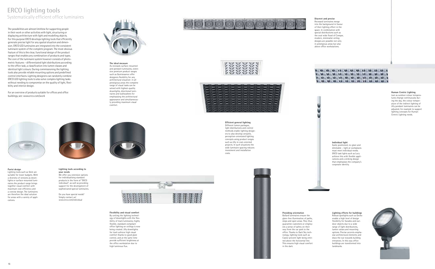

The possibilities are almost limitless for supporting people in their work or other activities with light, structuring or displaying architecture with light and modelling objects. For this purpose ERCO develops lighting tools that efficiently generate precise light for any spatial situation and dimen sion. ERCO LED luminaires are integrated into the consistent luminaire system of the complete program. The most obvious feature of this is the clear, functional design of the product ranges that enables any combination of products and types. The core of the luminaire system however consists of photo metric features – differentiated light distributions according to the office task, a classification into lumen classes and identical light colours. During commissioning the lighting tools also provide reliable mounting options and predefined control interfaces. Lighting designers can randomly combine ERCO LED lighting tools to also solve complex lighting tasks without needing to compromise on the quality of light, flexi bility and interior design.

For an overview of products suitable for offices and office buildings, see: www.erco.com/work



### **ERCO lighting tools** Systematically efficient office luminaires

**The ideal measure** As recessed, surface-mounted and pendant luminaires, exten sive premium product ranges such as Quintessence offer designers flexibility for any architectural situation: in all prestigious areas the complete range of visual tasks can be solved with highest-quality downlights, directional lumi naires and wallwashers for emphasising the architectural appearance and simultaneous ly providing maximum visual comfort.





### **Purist design**

Lighting tools such as Skim are suitable for lower budgets. With a diversity of versions as down lights or surface-mounted lumi naires the product range brings together visual comfort with maximum cost-efficiency and a concise design. The luminaires are therefore the ideal solution for areas with a variety of appli cations.





Bollard luminaires ensure the glare-free illumination of paths, steps and open areas. They thus guarantee customers or employ ees a sense of safety on their way from the car park to the office. Thanks to Dark Sky tech nology, lighting tools such as Castor prevent light being emit ted above the horizontal line. This ensures high visual comfort in the dark.

#### **Discreet and precise** Recessed luminaires merge into the background in favour of their lighting effect in the space. In combination with special distributions such as the oval wide flood of Compar, modern, minimalist ceiling designs are possible not only in prestigious areas but also above office workstations.

| <b>1 41 41 41 41 41 41 41 41 41 41 41 41</b> |  |  |  |  |  |
|----------------------------------------------|--|--|--|--|--|
|                                              |  |  |  |  |  |
|                                              |  |  |  |  |  |
|                                              |  |  |  |  |  |

#### **Individual light**

Easily positioned, no glare and dimmable – light at workplaces must meet individual needs. ERCO task lights such as Lucy achieve this with flexible appli cations and a striking design that emphasises the company's corporate identity.



#### **Lighting effects for buildings**

Robust spotlights such as Gecko enable a high level of design flexibility for facades and out door objects due to a wide range of light distributions, lumen values and mounting options. Precise accents empha sise architectural elements and draw the eye towards building entrances. In this way office buildings are transformed into landmarks.



**Efficient general lighting** Different lumen packages, light distributions and control methods enable lighting design ers to also develop versatile, perception-orientated lighting concepts using product ranges such as Jilly in cost-oriented projects. In such situations the wide luminaire spacing reduces investment and installation costs.



### **Flexibility and visual comfort**

By uniting the lighting technol ogy of downlights with the flex ibility of track luminaires, highly flexible, standard-compliant office lighting on ceilings is now being created. Jilly downlights for track achieve high visual comfort thanks to good glare control, and at the same time provide sufficient brightness at the office workstation due to high luminous flux.

### **Lighting tools according to your needs**

We offer you extensive options for individualising standard products in the form of "ERCO individual", as well as providing support for the development of sophisticated special luminaires.

Do you have special needs? Simply contact us! www.erco.com/individual





### **Human Centric Lighting**

Just as outdoor colour tempera tures change continuously dur ing the day, the colour temper ature of the indirect lighting of Jilly pendant luminaires can be adjusted, for example to support lighting concepts for Human Centric Lighting needs.